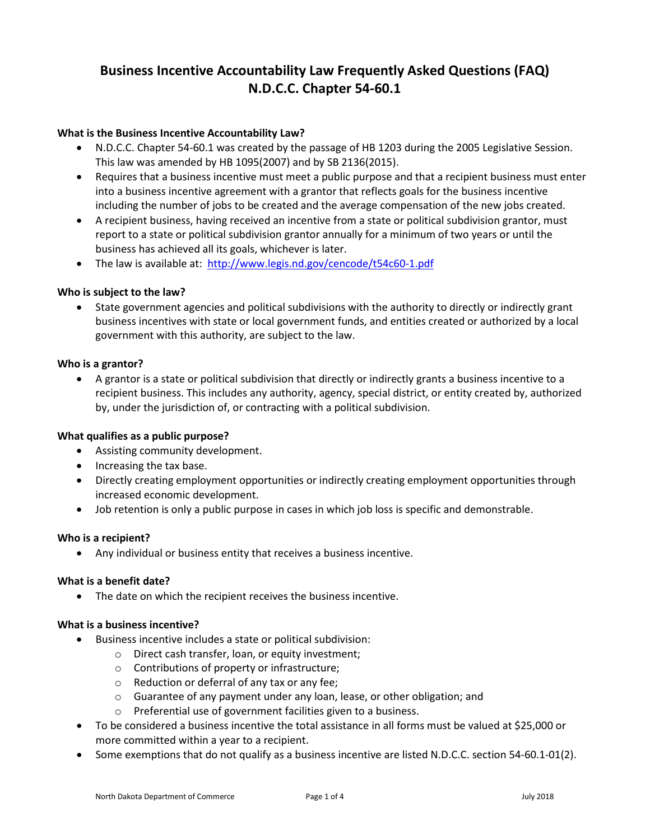# **Business Incentive Accountability Law Frequently Asked Questions (FAQ) N.D.C.C. Chapter 54-60.1**

## **What is the Business Incentive Accountability Law?**

- N.D.C.C. Chapter 54-60.1 was created by the passage of HB 1203 during the 2005 Legislative Session. This law was amended by HB 1095(2007) and by SB 2136(2015).
- Requires that a business incentive must meet a public purpose and that a recipient business must enter into a business incentive agreement with a grantor that reflects goals for the business incentive including the number of jobs to be created and the average compensation of the new jobs created.
- A recipient business, having received an incentive from a state or political subdivision grantor, must report to a state or political subdivision grantor annually for a minimum of two years or until the business has achieved all its goals, whichever is later.
- The law is available at: [http://www.legis.nd.gov/cencode/t54c60-1.pdf](http://www.legis.nd.gov/cencode/t54c60-1.pdf?20150430143549)

## **Who is subject to the law?**

• State government agencies and political subdivisions with the authority to directly or indirectly grant business incentives with state or local government funds, and entities created or authorized by a local government with this authority, are subject to the law.

## **Who is a grantor?**

• A grantor is a state or political subdivision that directly or indirectly grants a business incentive to a recipient business. This includes any authority, agency, special district, or entity created by, authorized by, under the jurisdiction of, or contracting with a political subdivision.

#### **What qualifies as a public purpose?**

- Assisting community development.
- Increasing the tax base.
- Directly creating employment opportunities or indirectly creating employment opportunities through increased economic development.
- Job retention is only a public purpose in cases in which job loss is specific and demonstrable.

#### **Who is a recipient?**

• Any individual or business entity that receives a business incentive.

#### **What is a benefit date?**

• The date on which the recipient receives the business incentive.

#### **What is a business incentive?**

- Business incentive includes a state or political subdivision:
	- o Direct cash transfer, loan, or equity investment;
	- o Contributions of property or infrastructure;
	- o Reduction or deferral of any tax or any fee;
	- $\circ$  Guarantee of any payment under any loan, lease, or other obligation; and
	- o Preferential use of government facilities given to a business.
- To be considered a business incentive the total assistance in all forms must be valued at \$25,000 or more committed within a year to a recipient.
- Some exemptions that do not qualify as a business incentive are listed N.D.C.C. section 54-60.1-01(2).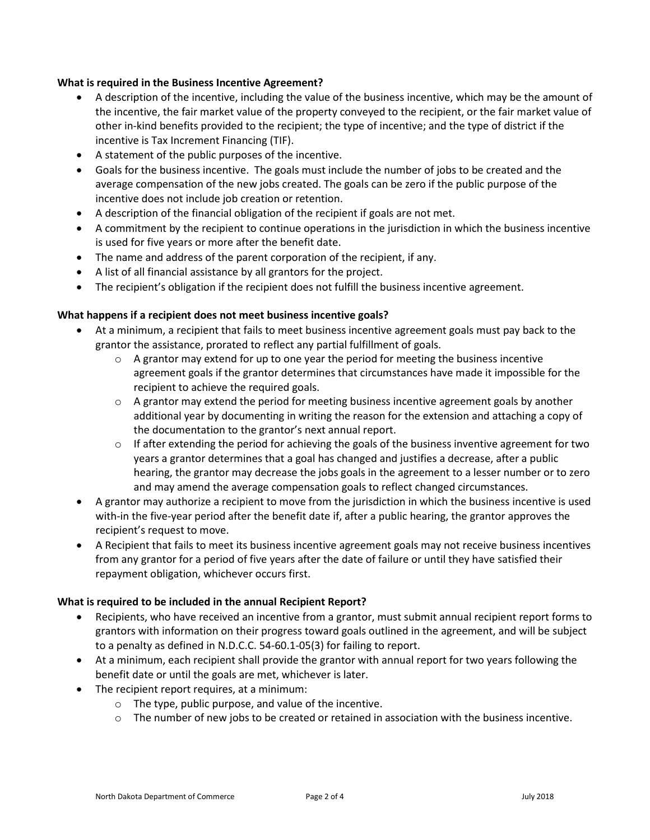## **What is required in the Business Incentive Agreement?**

- A description of the incentive, including the value of the business incentive, which may be the amount of the incentive, the fair market value of the property conveyed to the recipient, or the fair market value of other in-kind benefits provided to the recipient; the type of incentive; and the type of district if the incentive is Tax Increment Financing (TIF).
- A statement of the public purposes of the incentive.
- Goals for the business incentive. The goals must include the number of jobs to be created and the average compensation of the new jobs created. The goals can be zero if the public purpose of the incentive does not include job creation or retention.
- A description of the financial obligation of the recipient if goals are not met.
- A commitment by the recipient to continue operations in the jurisdiction in which the business incentive is used for five years or more after the benefit date.
- The name and address of the parent corporation of the recipient, if any.
- A list of all financial assistance by all grantors for the project.
- The recipient's obligation if the recipient does not fulfill the business incentive agreement.

## **What happens if a recipient does not meet business incentive goals?**

- At a minimum, a recipient that fails to meet business incentive agreement goals must pay back to the grantor the assistance, prorated to reflect any partial fulfillment of goals.
	- $\circ$  A grantor may extend for up to one year the period for meeting the business incentive agreement goals if the grantor determines that circumstances have made it impossible for the recipient to achieve the required goals.
	- $\circ$  A grantor may extend the period for meeting business incentive agreement goals by another additional year by documenting in writing the reason for the extension and attaching a copy of the documentation to the grantor's next annual report.
	- $\circ$  If after extending the period for achieving the goals of the business inventive agreement for two years a grantor determines that a goal has changed and justifies a decrease, after a public hearing, the grantor may decrease the jobs goals in the agreement to a lesser number or to zero and may amend the average compensation goals to reflect changed circumstances.
- A grantor may authorize a recipient to move from the jurisdiction in which the business incentive is used with-in the five-year period after the benefit date if, after a public hearing, the grantor approves the recipient's request to move.
- A Recipient that fails to meet its business incentive agreement goals may not receive business incentives from any grantor for a period of five years after the date of failure or until they have satisfied their repayment obligation, whichever occurs first.

#### **What is required to be included in the annual Recipient Report?**

- Recipients, who have received an incentive from a grantor, must submit annual recipient report forms to grantors with information on their progress toward goals outlined in the agreement, and will be subject to a penalty as defined in N.D.C.C. 54-60.1-05(3) for failing to report.
- At a minimum, each recipient shall provide the grantor with annual report for two years following the benefit date or until the goals are met, whichever is later.
- The recipient report requires, at a minimum:
	- o The type, public purpose, and value of the incentive.
	- o The number of new jobs to be created or retained in association with the business incentive.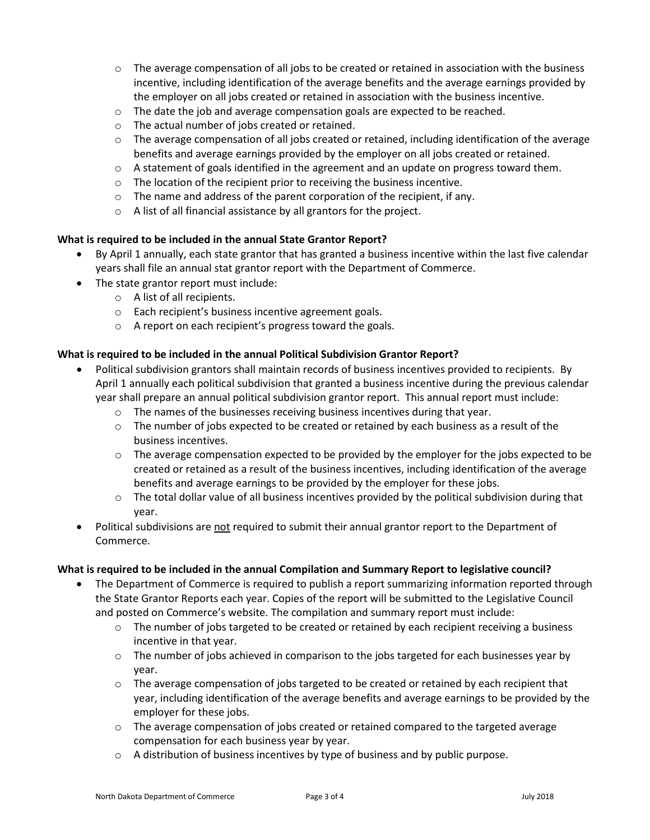- $\circ$  The average compensation of all jobs to be created or retained in association with the business incentive, including identification of the average benefits and the average earnings provided by the employer on all jobs created or retained in association with the business incentive.
- o The date the job and average compensation goals are expected to be reached.
- o The actual number of jobs created or retained.
- $\circ$  The average compensation of all jobs created or retained, including identification of the average benefits and average earnings provided by the employer on all jobs created or retained.
- $\circ$  A statement of goals identified in the agreement and an update on progress toward them.
- o The location of the recipient prior to receiving the business incentive.
- o The name and address of the parent corporation of the recipient, if any.
- o A list of all financial assistance by all grantors for the project.

# **What is required to be included in the annual State Grantor Report?**

- By April 1 annually, each state grantor that has granted a business incentive within the last five calendar years shall file an annual stat grantor report with the Department of Commerce.
- The state grantor report must include:
	- o A list of all recipients.
	- o Each recipient's business incentive agreement goals.
	- o A report on each recipient's progress toward the goals.

# **What is required to be included in the annual Political Subdivision Grantor Report?**

- Political subdivision grantors shall maintain records of business incentives provided to recipients. By April 1 annually each political subdivision that granted a business incentive during the previous calendar year shall prepare an annual political subdivision grantor report. This annual report must include:
	- o The names of the businesses receiving business incentives during that year.
	- $\circ$  The number of jobs expected to be created or retained by each business as a result of the business incentives.
	- $\circ$  The average compensation expected to be provided by the employer for the jobs expected to be created or retained as a result of the business incentives, including identification of the average benefits and average earnings to be provided by the employer for these jobs.
	- $\circ$  The total dollar value of all business incentives provided by the political subdivision during that year.
- Political subdivisions are not required to submit their annual grantor report to the Department of Commerce.

# **What is required to be included in the annual Compilation and Summary Report to legislative council?**

- The Department of Commerce is required to publish a report summarizing information reported through the State Grantor Reports each year. Copies of the report will be submitted to the Legislative Council and posted on Commerce's website. The compilation and summary report must include:
	- $\circ$  The number of jobs targeted to be created or retained by each recipient receiving a business incentive in that year.
	- $\circ$  The number of jobs achieved in comparison to the jobs targeted for each businesses year by year.
	- $\circ$  The average compensation of jobs targeted to be created or retained by each recipient that year, including identification of the average benefits and average earnings to be provided by the employer for these jobs.
	- $\circ$  The average compensation of jobs created or retained compared to the targeted average compensation for each business year by year.
	- $\circ$  A distribution of business incentives by type of business and by public purpose.